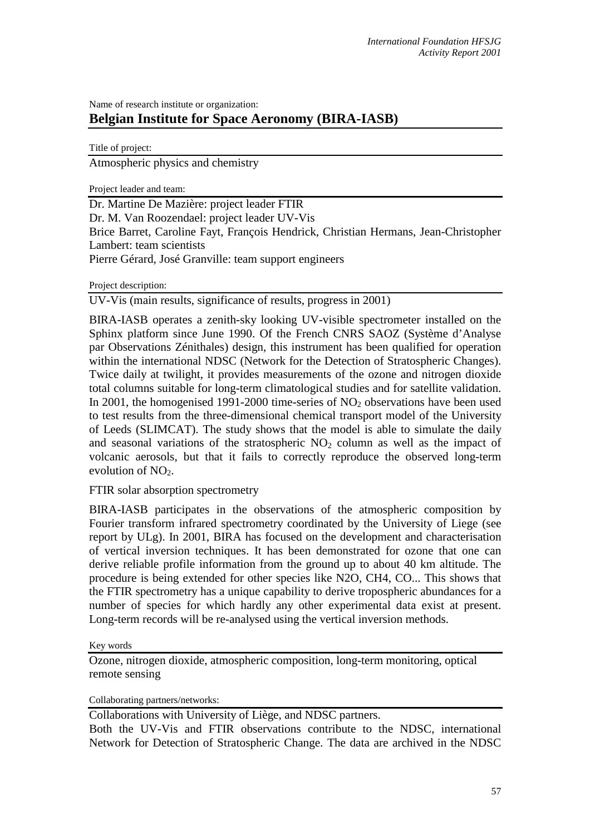## Name of research institute or organization: **Belgian Institute for Space Aeronomy (BIRA-IASB)**

Title of project: Atmospheric physics and chemistry

Project leader and team:

Dr. Martine De Mazière: project leader FTIR Dr. M. Van Roozendael: project leader UV-Vis Brice Barret, Caroline Fayt, François Hendrick, Christian Hermans, Jean-Christopher Lambert: team scientists Pierre Gérard, José Granville: team support engineers

Project description:

UV-Vis (main results, significance of results, progress in 2001)

BIRA-IASB operates a zenith-sky looking UV-visible spectrometer installed on the Sphinx platform since June 1990. Of the French CNRS SAOZ (Système d'Analyse par Observations Zénithales) design, this instrument has been qualified for operation within the international NDSC (Network for the Detection of Stratospheric Changes). Twice daily at twilight, it provides measurements of the ozone and nitrogen dioxide total columns suitable for long-term climatological studies and for satellite validation. In 2001, the homogenised 1991-2000 time-series of  $NO<sub>2</sub>$  observations have been used to test results from the three-dimensional chemical transport model of the University of Leeds (SLIMCAT). The study shows that the model is able to simulate the daily and seasonal variations of the stratospheric  $NO<sub>2</sub>$  column as well as the impact of volcanic aerosols, but that it fails to correctly reproduce the observed long-term evolution of  $NO<sub>2</sub>$ .

FTIR solar absorption spectrometry

BIRA-IASB participates in the observations of the atmospheric composition by Fourier transform infrared spectrometry coordinated by the University of Liege (see report by ULg). In 2001, BIRA has focused on the development and characterisation of vertical inversion techniques. It has been demonstrated for ozone that one can derive reliable profile information from the ground up to about 40 km altitude. The procedure is being extended for other species like N2O, CH4, CO... This shows that the FTIR spectrometry has a unique capability to derive tropospheric abundances for a number of species for which hardly any other experimental data exist at present. Long-term records will be re-analysed using the vertical inversion methods.

Key words

Ozone, nitrogen dioxide, atmospheric composition, long-term monitoring, optical remote sensing

Collaborating partners/networks:

Collaborations with University of Liège, and NDSC partners.

Both the UV-Vis and FTIR observations contribute to the NDSC, international Network for Detection of Stratospheric Change. The data are archived in the NDSC